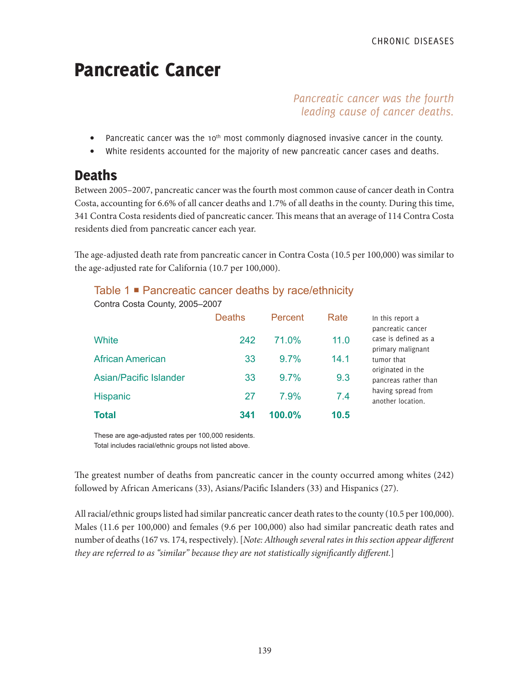# Pancreatic Cancer

# *Pancreatic cancer was the fourth leading cause of cancer deaths.*

- Pancreatic cancer was the 10<sup>th</sup> most commonly diagnosed invasive cancer in the county.
- White residents accounted for the majority of new pancreatic cancer cases and deaths.

# **Deaths**

Between 2005–2007, pancreatic cancer was the fourth most common cause of cancer death in Contra Costa, accounting for 6.6% of all cancer deaths and 1.7% of all deaths in the county. During this time, 341 Contra Costa residents died of pancreatic cancer. This means that an average of 114 Contra Costa residents died from pancreatic cancer each year.

The age-adjusted death rate from pancreatic cancer in Contra Costa (10.5 per 100,000) was similar to the age-adjusted rate for California (10.7 per 100,000).

| <b>Total</b>                   | 341           | 100.0%  | 10.5 |                                                                |
|--------------------------------|---------------|---------|------|----------------------------------------------------------------|
| <b>Hispanic</b>                | 27            | 7.9%    | 7.4  | having spread from<br>another location.                        |
| <b>Asian/Pacific Islander</b>  | 33            | 9.7%    | 9.3  | originated in the<br>pancreas rather than                      |
| <b>African American</b>        | 33            | 9.7%    | 14.1 | tumor that                                                     |
| White                          | 242           | 71.0%   | 11.0 | pancreatic cancer<br>case is defined as a<br>primary malignant |
|                                | <b>Deaths</b> | Percent | Rate | In this report a                                               |
| Contra Costa County, 2005-2007 |               |         |      |                                                                |

# Table 1 **■** Pancreatic cancer deaths by race/ethnicity

These are age-adjusted rates per 100,000 residents. Total includes racial/ethnic groups not listed above.

The greatest number of deaths from pancreatic cancer in the county occurred among whites (242) followed by African Americans (33), Asians/Pacific Islanders (33) and Hispanics (27).

All racial/ethnic groups listed had similar pancreatic cancer death rates to the county (10.5 per 100,000). Males (11.6 per 100,000) and females (9.6 per 100,000) also had similar pancreatic death rates and number of deaths (167 vs. 174, respectively). [*Note: Although several rates in this section appear different they are referred to as "similar" because they are not statistically significantly different.*]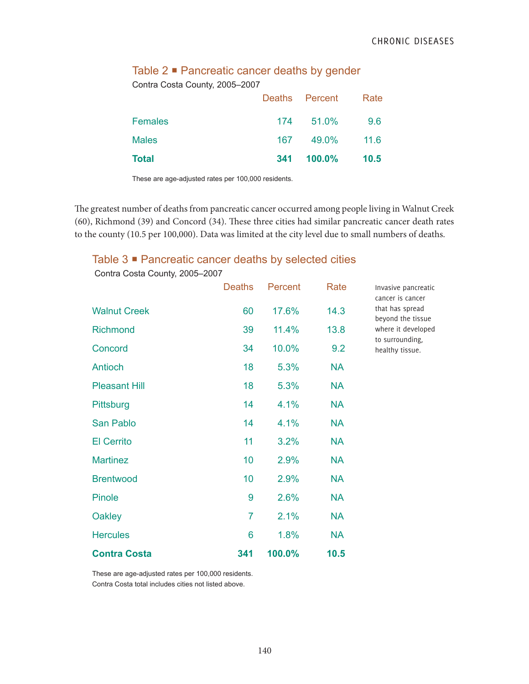|  | Table $2 \blacksquare$ Pancreatic cancer deaths by gender |  |  |  |  |
|--|-----------------------------------------------------------|--|--|--|--|
|--|-----------------------------------------------------------|--|--|--|--|

Contra Costa County, 2005–2007

| <b>Total</b>   |     | 341 100.0%     | 10.5 |
|----------------|-----|----------------|------|
| <b>Males</b>   | 167 | 49.0%          | 11.6 |
| <b>Females</b> | 174 | 51.0%          | 9.6  |
|                |     | Deaths Percent | Rate |

These are age-adjusted rates per 100,000 residents.

The greatest number of deaths from pancreatic cancer occurred among people living in Walnut Creek (60), Richmond (39) and Concord (34). These three cities had similar pancreatic cancer death rates to the county (10.5 per 100,000). Data was limited at the city level due to small numbers of deaths.

### Table 3 <sup>■</sup> Pancreatic cancer deaths by selected cities

|                      | <b>Deaths</b>  | Percent | Rate      |
|----------------------|----------------|---------|-----------|
| <b>Walnut Creek</b>  | 60             | 17.6%   | 14.3      |
| <b>Richmond</b>      | 39             | 11.4%   | 13.8      |
| Concord              | 34             | 10.0%   | 9.2       |
| Antioch              | 18             | 5.3%    | <b>NA</b> |
| <b>Pleasant Hill</b> | 18             | 5.3%    | <b>NA</b> |
| Pittsburg            | 14             | 4.1%    | <b>NA</b> |
| San Pablo            | 14             | 4.1%    | <b>NA</b> |
| <b>El Cerrito</b>    | 11             | 3.2%    | <b>NA</b> |
| <b>Martinez</b>      | 10             | 2.9%    | <b>NA</b> |
| <b>Brentwood</b>     | 10             | 2.9%    | <b>NA</b> |
| <b>Pinole</b>        | 9              | 2.6%    | <b>NA</b> |
| <b>Oakley</b>        | $\overline{7}$ | 2.1%    | <b>NA</b> |
| <b>Hercules</b>      | 6              | 1.8%    | <b>NA</b> |
| <b>Contra Costa</b>  | 341            | 100.0%  | 10.5      |

Contra Costa County, 2005–2007

Invasive pancreatic cancer is cancer that has spread beyond the tissue where it developed to surrounding, healthy tissue.

These are age-adjusted rates per 100,000 residents. Contra Costa total includes cities not listed above.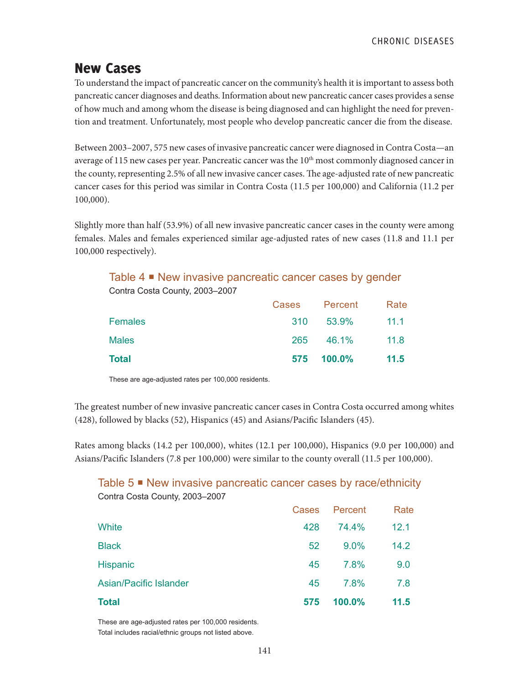# New Cases

To understand the impact of pancreatic cancer on the community's health it is important to assess both pancreatic cancer diagnoses and deaths. Information about new pancreatic cancer cases provides a sense of how much and among whom the disease is being diagnosed and can highlight the need for prevention and treatment. Unfortunately, most people who develop pancreatic cancer die from the disease.

Between 2003–2007, 575 new cases of invasive pancreatic cancer were diagnosed in Contra Costa—an average of 115 new cases per year. Pancreatic cancer was the 10<sup>th</sup> most commonly diagnosed cancer in the county, representing 2.5% of all new invasive cancer cases. The age-adjusted rate of new pancreatic cancer cases for this period was similar in Contra Costa (11.5 per 100,000) and California (11.2 per 100,000).

Slightly more than half (53.9%) of all new invasive pancreatic cancer cases in the county were among females. Males and females experienced similar age-adjusted rates of new cases (11.8 and 11.1 per 100,000 respectively).

Table 4 **■** New invasive pancreatic cancer cases by gender Contra Costa County, 2003–2007

|                | Cases      | Percent   | Rate |
|----------------|------------|-----------|------|
| <b>Females</b> | <b>310</b> | $53.9\%$  | 11.1 |
| <b>Males</b>   | 265        | 46.1%     | 11.8 |
| <b>Total</b>   | 575        | $100.0\%$ | 11.5 |

These are age-adjusted rates per 100,000 residents.

The greatest number of new invasive pancreatic cancer cases in Contra Costa occurred among whites (428), followed by blacks (52), Hispanics (45) and Asians/Pacific Islanders (45).

Rates among blacks (14.2 per 100,000), whites (12.1 per 100,000), Hispanics (9.0 per 100,000) and Asians/Pacific Islanders (7.8 per 100,000) were similar to the county overall (11.5 per 100,000).

Table 5 ■ New invasive pancreatic cancer cases by race/ethnicity Contra Costa County, 2003–2007

| <b>Total</b>                  | 575          | 100.0%  | 11.5 |
|-------------------------------|--------------|---------|------|
| <b>Asian/Pacific Islander</b> | 45           | 7.8%    | 7.8  |
| <b>Hispanic</b>               | 45           | 7.8%    | 9.0  |
| <b>Black</b>                  | 52           | 9.0%    | 14.2 |
| <b>White</b>                  | 428          | 74.4%   | 12.1 |
|                               | <b>Cases</b> | Percent | Rate |

These are age-adjusted rates per 100,000 residents. Total includes racial/ethnic groups not listed above.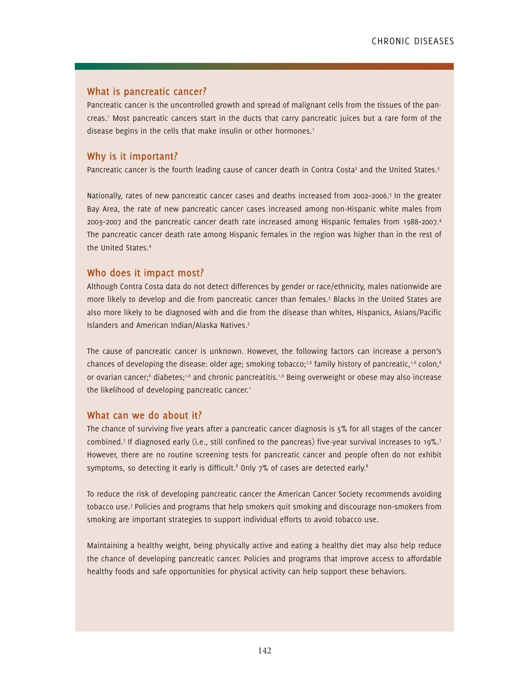#### **What is pancreatic cancer?**

Pancreatic cancer is the uncontrolled growth and spread of malignant cells from the tissues of the pancreas.' Most pancreatic cancers start in the ducts that carry pancreatic juices but a rare form of the disease begins in the cells that make insulin or other hormones.<sup>1</sup>

#### **Why is it important?**

Pancreatic cancer is the fourth leading cause of cancer death in Contra Costa<sup>2</sup> and the United States.<sup>3</sup>

Nationally, rates of new pancreatic cancer cases and deaths increased from 2002–2006.3 In the greater Bay Area, the rate of new pancreatic cancer cases increased among non-Hispanic white males from 2003–2007 and the pancreatic cancer death rate increased among Hispanic females from 1988–2007.4 The pancreatic cancer death rate among Hispanic females in the region was higher than in the rest of the United States.4

#### **Who does it impact most?**

Although Contra Costa data do not detect differences by gender or race/ethnicity, males nationwide are more likely to develop and die from pancreatic cancer than females.<sup>5</sup> Blacks in the United States are also more likely to be diagnosed with and die from the disease than whites, Hispanics, Asians/Pacific Islanders and American Indian/Alaska Natives.5

The cause of pancreatic cancer is unknown. However, the following factors can increase a person's chances of developing the disease: older age; smoking tobacco;<sup>1,6</sup> family history of pancreatic,<sup>1,6</sup> colon,<sup>6</sup> or ovarian cancer;<sup>6</sup> diabetes;<sup>1,6</sup> and chronic pancreatitis.<sup>1,6</sup> Being overweight or obese may also increase the likelihood of developing pancreatic cancer.<sup>1</sup>

#### **What can we do about it?**

The chance of surviving five years after a pancreatic cancer diagnosis is 5% for all stages of the cancer combined.<sup>7</sup> If diagnosed early (i.e., still confined to the pancreas) five-year survival increases to 19%.<sup>7</sup> However, there are no routine screening tests for pancreatic cancer and people often do not exhibit symptoms, so detecting it early is difficult.<sup>8</sup> Only  $7\%$  of cases are detected early.<sup>8</sup>

To reduce the risk of developing pancreatic cancer the American Cancer Society recommends avoiding tobacco use.7 Policies and programs that help smokers quit smoking and discourage non-smokers from smoking are important strategies to support individual efforts to avoid tobacco use.

Maintaining a healthy weight, being physically active and eating a healthy diet may also help reduce the chance of developing pancreatic cancer. Policies and programs that improve access to affordable healthy foods and safe opportunities for physical activity can help support these behaviors.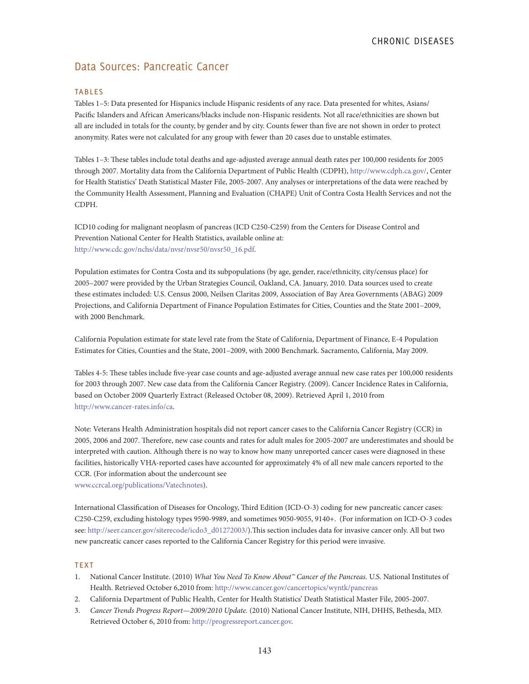# Data Sources: Pancreatic Cancer

#### **TABLES**

Tables 1–5: Data presented for Hispanics include Hispanic residents of any race. Data presented for whites, Asians/ Pacific Islanders and African Americans/blacks include non-Hispanic residents. Not all race/ethnicities are shown but all are included in totals for the county, by gender and by city. Counts fewer than five are not shown in order to protect anonymity. Rates were not calculated for any group with fewer than 20 cases due to unstable estimates.

Tables 1–3: These tables include total deaths and age-adjusted average annual death rates per 100,000 residents for 2005 through 2007. Mortality data from the California Department of Public Health (CDPH), http://www.cdph.ca.gov/, Center for Health Statistics' Death Statistical Master File, 2005-2007. Any analyses or interpretations of the data were reached by the Community Health Assessment, Planning and Evaluation (CHAPE) Unit of Contra Costa Health Services and not the CDPH.

ICD10 coding for malignant neoplasm of pancreas (ICD C250-C259) from the Centers for Disease Control and Prevention National Center for Health Statistics, available online at: http://www.cdc.gov/nchs/data/nvsr/nvsr50/nvsr50\_16.pdf.

Population estimates for Contra Costa and its subpopulations (by age, gender, race/ethnicity, city/census place) for 2005–2007 were provided by the Urban Strategies Council, Oakland, CA. January, 2010. Data sources used to create these estimates included: U.S. Census 2000, Neilsen Claritas 2009, Association of Bay Area Governments (ABAG) 2009 Projections, and California Department of Finance Population Estimates for Cities, Counties and the State 2001–2009, with 2000 Benchmark.

California Population estimate for state level rate from the State of California, Department of Finance, E-4 Population Estimates for Cities, Counties and the State, 2001–2009, with 2000 Benchmark. Sacramento, California, May 2009.

Tables 4-5: These tables include five-year case counts and age-adjusted average annual new case rates per 100,000 residents for 2003 through 2007. New case data from the California Cancer Registry. (2009). Cancer Incidence Rates in California, based on October 2009 Quarterly Extract (Released October 08, 2009). Retrieved April 1, 2010 from http://www.cancer-rates.info/ca.

Note: Veterans Health Administration hospitals did not report cancer cases to the California Cancer Registry (CCR) in 2005, 2006 and 2007. Therefore, new case counts and rates for adult males for 2005-2007 are underestimates and should be interpreted with caution. Although there is no way to know how many unreported cancer cases were diagnosed in these facilities, historically VHA-reported cases have accounted for approximately 4% of all new male cancers reported to the CCR. (For information about the undercount see www.ccrcal.org/publications/Vatechnotes).

International Classification of Diseases for Oncology, Third Edition (ICD-O-3) coding for new pancreatic cancer cases: C250-C259, excluding histology types 9590-9989, and sometimes 9050-9055, 9140+. (For information on ICD-O-3 codes see: http://seer.cancer.gov/siterecode/icdo3\_d01272003/).This section includes data for invasive cancer only. All but two new pancreatic cancer cases reported to the California Cancer Registry for this period were invasive.

#### **TEXT**

- 1. National Cancer Institute. (2010) *What You Need To Know About™ Cancer of the Pancreas.* U.S. National Institutes of Health. Retrieved October 6,2010 from: http://www.cancer.gov/cancertopics/wyntk/pancreas
- 2. California Department of Public Health, Center for Health Statistics' Death Statistical Master File, 2005-2007.
- 3. *Cancer Trends Progress Report—2009/2010 Update.* (2010) National Cancer Institute, NIH, DHHS, Bethesda, MD. Retrieved October 6, 2010 from: http://progressreport.cancer.gov.